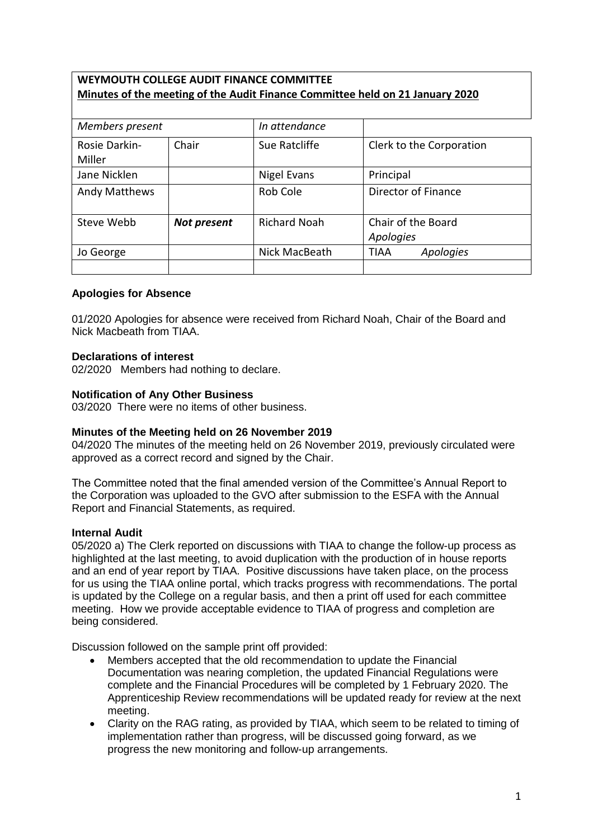## **WEYMOUTH COLLEGE AUDIT FINANCE COMMITTEE Minutes of the meeting of the Audit Finance Committee held on 21 January 2020**

| Members present         |             | In attendance       |                                 |
|-------------------------|-------------|---------------------|---------------------------------|
| Rosie Darkin-<br>Miller | Chair       | Sue Ratcliffe       | Clerk to the Corporation        |
| Jane Nicklen            |             | Nigel Evans         | Principal                       |
| <b>Andy Matthews</b>    |             | Rob Cole            | Director of Finance             |
| Steve Webb              | Not present | <b>Richard Noah</b> | Chair of the Board<br>Apologies |
| Jo George               |             | Nick MacBeath       | Apologies<br>TIAA               |
|                         |             |                     |                                 |

### **Apologies for Absence**

01/2020 Apologies for absence were received from Richard Noah, Chair of the Board and Nick Macbeath from TIAA.

### **Declarations of interest**

02/2020 Members had nothing to declare.

### **Notification of Any Other Business**

03/2020 There were no items of other business.

### **Minutes of the Meeting held on 26 November 2019**

04/2020 The minutes of the meeting held on 26 November 2019, previously circulated were approved as a correct record and signed by the Chair.

The Committee noted that the final amended version of the Committee's Annual Report to the Corporation was uploaded to the GVO after submission to the ESFA with the Annual Report and Financial Statements, as required.

### **Internal Audit**

05/2020 a) The Clerk reported on discussions with TIAA to change the follow-up process as highlighted at the last meeting, to avoid duplication with the production of in house reports and an end of year report by TIAA. Positive discussions have taken place, on the process for us using the TIAA online portal, which tracks progress with recommendations. The portal is updated by the College on a regular basis, and then a print off used for each committee meeting. How we provide acceptable evidence to TIAA of progress and completion are being considered.

Discussion followed on the sample print off provided:

- Members accepted that the old recommendation to update the Financial Documentation was nearing completion, the updated Financial Regulations were complete and the Financial Procedures will be completed by 1 February 2020. The Apprenticeship Review recommendations will be updated ready for review at the next meeting.
- Clarity on the RAG rating, as provided by TIAA, which seem to be related to timing of implementation rather than progress, will be discussed going forward, as we progress the new monitoring and follow-up arrangements.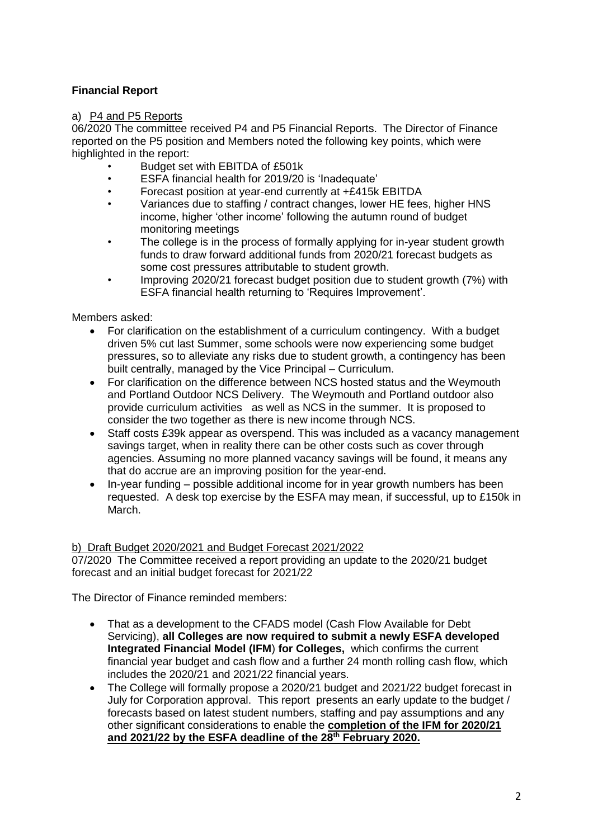# **Financial Report**

## a) P4 and P5 Reports

06/2020 The committee received P4 and P5 Financial Reports. The Director of Finance reported on the P5 position and Members noted the following key points, which were highlighted in the report:

- Budget set with EBITDA of £501k
- ESFA financial health for 2019/20 is 'Inadequate'
- Forecast position at year-end currently at +£415k EBITDA<br>• Mariances due to staffing / contract changes lower HE foot
- Variances due to staffing / contract changes, lower HE fees, higher HNS income, higher 'other income' following the autumn round of budget monitoring meetings
- The college is in the process of formally applying for in-year student growth funds to draw forward additional funds from 2020/21 forecast budgets as some cost pressures attributable to student growth.
- Improving 2020/21 forecast budget position due to student growth (7%) with ESFA financial health returning to 'Requires Improvement'.

Members asked:

- For clarification on the establishment of a curriculum contingency. With a budget driven 5% cut last Summer, some schools were now experiencing some budget pressures, so to alleviate any risks due to student growth, a contingency has been built centrally, managed by the Vice Principal – Curriculum.
- For clarification on the difference between NCS hosted status and the Weymouth and Portland Outdoor NCS Delivery. The Weymouth and Portland outdoor also provide curriculum activities as well as NCS in the summer. It is proposed to consider the two together as there is new income through NCS.
- Staff costs £39k appear as overspend. This was included as a vacancy management savings target, when in reality there can be other costs such as cover through agencies. Assuming no more planned vacancy savings will be found, it means any that do accrue are an improving position for the year-end.
- In-year funding possible additional income for in year growth numbers has been requested. A desk top exercise by the ESFA may mean, if successful, up to £150k in March.

### b) Draft Budget 2020/2021 and Budget Forecast 2021/2022

07/2020 The Committee received a report providing an update to the 2020/21 budget forecast and an initial budget forecast for 2021/22

The Director of Finance reminded members:

- That as a development to the CFADS model (Cash Flow Available for Debt Servicing), **all Colleges are now required to submit a newly ESFA developed Integrated Financial Model (IFM**) **for Colleges,** which confirms the current financial year budget and cash flow and a further 24 month rolling cash flow, which includes the 2020/21 and 2021/22 financial years.
- The College will formally propose a 2020/21 budget and 2021/22 budget forecast in July for Corporation approval. This report presents an early update to the budget / forecasts based on latest student numbers, staffing and pay assumptions and any other significant considerations to enable the **completion of the IFM for 2020/21 and 2021/22 by the ESFA deadline of the 28th February 2020.**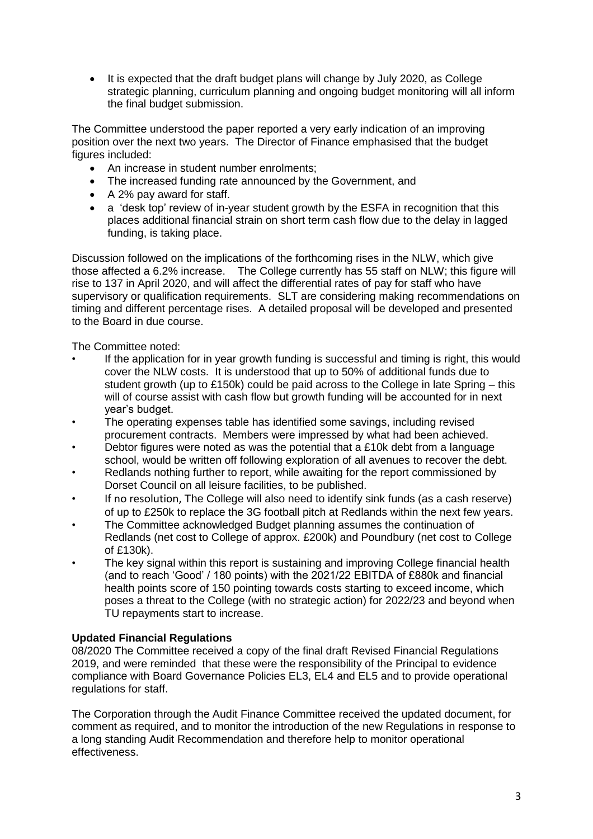It is expected that the draft budget plans will change by July 2020, as College strategic planning, curriculum planning and ongoing budget monitoring will all inform the final budget submission.

The Committee understood the paper reported a very early indication of an improving position over the next two years. The Director of Finance emphasised that the budget figures included:

- An increase in student number enrolments;
- The increased funding rate announced by the Government, and
- A 2% pay award for staff.
- a 'desk top' review of in-year student growth by the ESFA in recognition that this places additional financial strain on short term cash flow due to the delay in lagged funding, is taking place.

Discussion followed on the implications of the forthcoming rises in the NLW, which give those affected a 6.2% increase. The College currently has 55 staff on NLW; this figure will rise to 137 in April 2020, and will affect the differential rates of pay for staff who have supervisory or qualification requirements. SLT are considering making recommendations on timing and different percentage rises. A detailed proposal will be developed and presented to the Board in due course.

The Committee noted:

- If the application for in year growth funding is successful and timing is right, this would cover the NLW costs. It is understood that up to 50% of additional funds due to student growth (up to £150k) could be paid across to the College in late Spring – this will of course assist with cash flow but growth funding will be accounted for in next year's budget.
- The operating expenses table has identified some savings, including revised procurement contracts. Members were impressed by what had been achieved.
- Debtor figures were noted as was the potential that a  $£10k$  debt from a language school, would be written off following exploration of all avenues to recover the debt.
- Redlands nothing further to report, while awaiting for the report commissioned by Dorset Council on all leisure facilities, to be published.
- If no resolution, The College will also need to identify sink funds (as a cash reserve) of up to £250k to replace the 3G football pitch at Redlands within the next few years.
- The Committee acknowledged Budget planning assumes the continuation of Redlands (net cost to College of approx. £200k) and Poundbury (net cost to College of £130k).
- The key signal within this report is sustaining and improving College financial health (and to reach 'Good' / 180 points) with the 2021/22 EBITDA of £880k and financial health points score of 150 pointing towards costs starting to exceed income, which poses a threat to the College (with no strategic action) for 2022/23 and beyond when TU repayments start to increase.

## **Updated Financial Regulations**

08/2020 The Committee received a copy of the final draft Revised Financial Regulations 2019, and were reminded that these were the responsibility of the Principal to evidence compliance with Board Governance Policies EL3, EL4 and EL5 and to provide operational regulations for staff.

The Corporation through the Audit Finance Committee received the updated document, for comment as required, and to monitor the introduction of the new Regulations in response to a long standing Audit Recommendation and therefore help to monitor operational effectiveness.